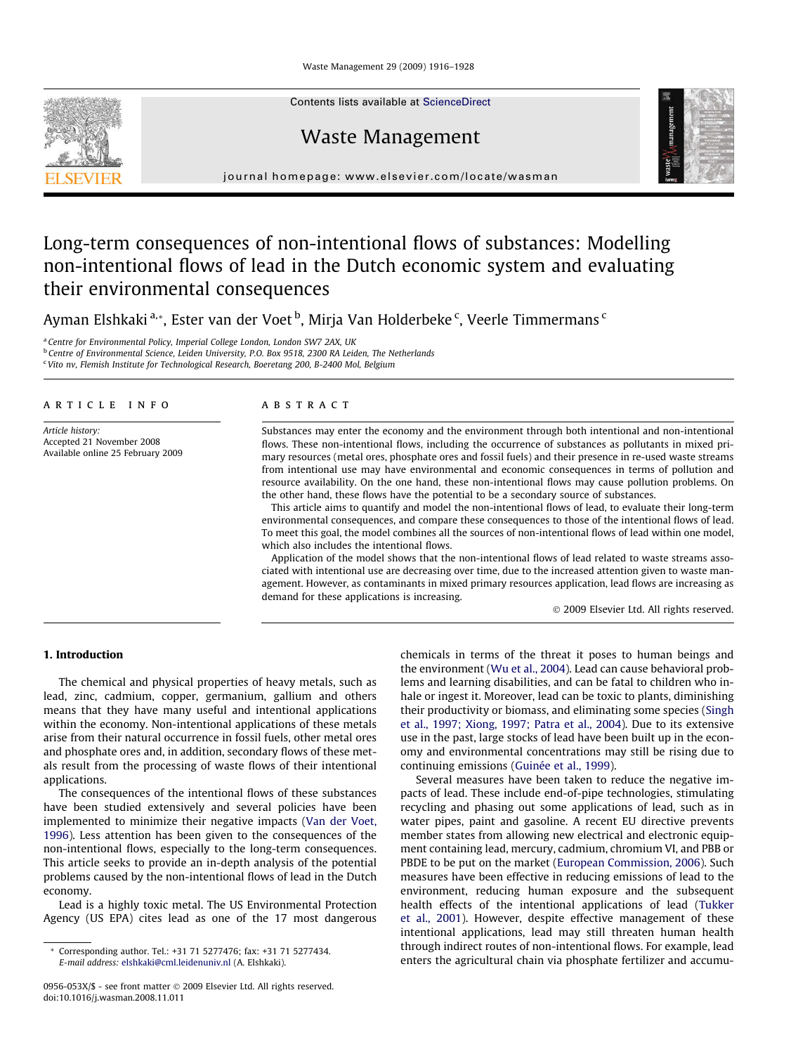Waste Management 29 (2009) 1916–1928

Contents lists available at [ScienceDirect](http://www.sciencedirect.com/science/journal/0956053X)

## Waste Management



journal homepage: [www.elsevier.com/locate/wasman](http://www.elsevier.com/locate/wasman)

## Long-term consequences of non-intentional flows of substances: Modelling non-intentional flows of lead in the Dutch economic system and evaluating their environmental consequences

Ayman Elshkaki <sup>a,</sup>\*, Ester van der Voet <sup>b</sup>, Mirja Van Holderbeke <sup>c</sup>, Veerle Timmermans <sup>c</sup>

<sup>a</sup> Centre for Environmental Policy, Imperial College London, London SW7 2AX, UK <sup>b</sup> Centre of Environmental Science, Leiden University, P.O. Box 9518, 2300 RA Leiden, The Netherlands <sup>c</sup> Vito nv, Flemish Institute for Technological Research, Boeretang 200, B-2400 Mol, Belgium

#### article info

Article history: Accepted 21 November 2008 Available online 25 February 2009

#### **ABSTRACT**

Substances may enter the economy and the environment through both intentional and non-intentional flows. These non-intentional flows, including the occurrence of substances as pollutants in mixed primary resources (metal ores, phosphate ores and fossil fuels) and their presence in re-used waste streams from intentional use may have environmental and economic consequences in terms of pollution and resource availability. On the one hand, these non-intentional flows may cause pollution problems. On the other hand, these flows have the potential to be a secondary source of substances.

This article aims to quantify and model the non-intentional flows of lead, to evaluate their long-term environmental consequences, and compare these consequences to those of the intentional flows of lead. To meet this goal, the model combines all the sources of non-intentional flows of lead within one model, which also includes the intentional flows.

Application of the model shows that the non-intentional flows of lead related to waste streams associated with intentional use are decreasing over time, due to the increased attention given to waste management. However, as contaminants in mixed primary resources application, lead flows are increasing as demand for these applications is increasing.

- 2009 Elsevier Ltd. All rights reserved.

#### 1. Introduction

The chemical and physical properties of heavy metals, such as lead, zinc, cadmium, copper, germanium, gallium and others means that they have many useful and intentional applications within the economy. Non-intentional applications of these metals arise from their natural occurrence in fossil fuels, other metal ores and phosphate ores and, in addition, secondary flows of these metals result from the processing of waste flows of their intentional applications.

The consequences of the intentional flows of these substances have been studied extensively and several policies have been implemented to minimize their negative impacts ([Van der Voet,](#page--1-0) [1996\)](#page--1-0). Less attention has been given to the consequences of the non-intentional flows, especially to the long-term consequences. This article seeks to provide an in-depth analysis of the potential problems caused by the non-intentional flows of lead in the Dutch economy.

Lead is a highly toxic metal. The US Environmental Protection Agency (US EPA) cites lead as one of the 17 most dangerous chemicals in terms of the threat it poses to human beings and the environment ([Wu et al., 2004\)](#page--1-0). Lead can cause behavioral problems and learning disabilities, and can be fatal to children who inhale or ingest it. Moreover, lead can be toxic to plants, diminishing their productivity or biomass, and eliminating some species ([Singh](#page--1-0) [et al., 1997; Xiong, 1997; Patra et al., 2004\)](#page--1-0). Due to its extensive use in the past, large stocks of lead have been built up in the economy and environmental concentrations may still be rising due to continuing emissions [\(Guinée et al., 1999](#page--1-0)).

Several measures have been taken to reduce the negative impacts of lead. These include end-of-pipe technologies, stimulating recycling and phasing out some applications of lead, such as in water pipes, paint and gasoline. A recent EU directive prevents member states from allowing new electrical and electronic equipment containing lead, mercury, cadmium, chromium VI, and PBB or PBDE to be put on the market ([European Commission, 2006](#page--1-0)). Such measures have been effective in reducing emissions of lead to the environment, reducing human exposure and the subsequent health effects of the intentional applications of lead ([Tukker](#page--1-0) [et al., 2001\)](#page--1-0). However, despite effective management of these intentional applications, lead may still threaten human health through indirect routes of non-intentional flows. For example, lead enters the agricultural chain via phosphate fertilizer and accumu-



<sup>\*</sup> Corresponding author. Tel.: +31 71 5277476; fax: +31 71 5277434. E-mail address: [elshkaki@cml.leidenuniv.nl](mailto:elshkaki@cml.leidenuniv.nl) (A. Elshkaki).

<sup>0956-053</sup>X/\$ - see front matter © 2009 Elsevier Ltd. All rights reserved. doi:10.1016/j.wasman.2008.11.011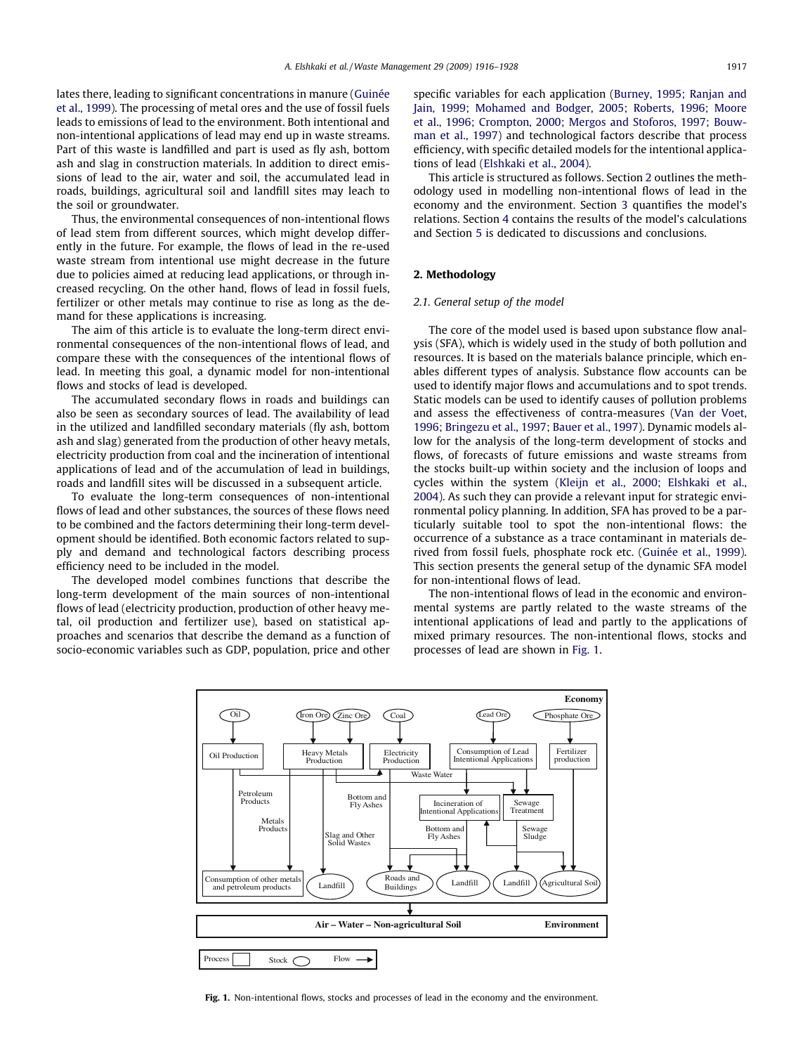lates there, leading to significant concentrations in manure ([Guinée](#page--1-0) [et al., 1999\)](#page--1-0). The processing of metal ores and the use of fossil fuels leads to emissions of lead to the environment. Both intentional and non-intentional applications of lead may end up in waste streams. Part of this waste is landfilled and part is used as fly ash, bottom ash and slag in construction materials. In addition to direct emissions of lead to the air, water and soil, the accumulated lead in roads, buildings, agricultural soil and landfill sites may leach to the soil or groundwater.

Thus, the environmental consequences of non-intentional flows of lead stem from different sources, which might develop differently in the future. For example, the flows of lead in the re-used waste stream from intentional use might decrease in the future due to policies aimed at reducing lead applications, or through increased recycling. On the other hand, flows of lead in fossil fuels, fertilizer or other metals may continue to rise as long as the demand for these applications is increasing.

The aim of this article is to evaluate the long-term direct environmental consequences of the non-intentional flows of lead, and compare these with the consequences of the intentional flows of lead. In meeting this goal, a dynamic model for non-intentional flows and stocks of lead is developed.

The accumulated secondary flows in roads and buildings can also be seen as secondary sources of lead. The availability of lead in the utilized and landfilled secondary materials (fly ash, bottom ash and slag) generated from the production of other heavy metals, electricity production from coal and the incineration of intentional applications of lead and of the accumulation of lead in buildings, roads and landfill sites will be discussed in a subsequent article.

To evaluate the long-term consequences of non-intentional flows of lead and other substances, the sources of these flows need to be combined and the factors determining their long-term development should be identified. Both economic factors related to supply and demand and technological factors describing process efficiency need to be included in the model.

The developed model combines functions that describe the long-term development of the main sources of non-intentional flows of lead (electricity production, production of other heavy metal, oil production and fertilizer use), based on statistical approaches and scenarios that describe the demand as a function of socio-economic variables such as GDP, population, price and other specific variables for each application ([Burney, 1995; Ranjan and](#page--1-0) [Jain, 1999; Mohamed and Bodger, 2005; Roberts, 1996; Moore](#page--1-0) [et al., 1996; Crompton, 2000; Mergos and Stoforos, 1997; Bouw](#page--1-0)[man et al., 1997](#page--1-0)) and technological factors describe that process efficiency, with specific detailed models for the intentional applications of lead [\(Elshkaki et al., 2004\)](#page--1-0).

This article is structured as follows. Section 2 outlines the methodology used in modelling non-intentional flows of lead in the economy and the environment. Section [3](#page--1-0) quantifies the model's relations. Section [4](#page--1-0) contains the results of the model's calculations and Section [5](#page--1-0) is dedicated to discussions and conclusions.

### 2. Methodology

#### 2.1. General setup of the model

The core of the model used is based upon substance flow analysis (SFA), which is widely used in the study of both pollution and resources. It is based on the materials balance principle, which enables different types of analysis. Substance flow accounts can be used to identify major flows and accumulations and to spot trends. Static models can be used to identify causes of pollution problems and assess the effectiveness of contra-measures [\(Van der Voet,](#page--1-0) [1996; Bringezu et al., 1997; Bauer et al., 1997\)](#page--1-0). Dynamic models allow for the analysis of the long-term development of stocks and flows, of forecasts of future emissions and waste streams from the stocks built-up within society and the inclusion of loops and cycles within the system [\(Kleijn et al., 2000; Elshkaki et al.,](#page--1-0) [2004](#page--1-0)). As such they can provide a relevant input for strategic environmental policy planning. In addition, SFA has proved to be a particularly suitable tool to spot the non-intentional flows: the occurrence of a substance as a trace contaminant in materials derived from fossil fuels, phosphate rock etc. ([Guinée et al., 1999\)](#page--1-0). This section presents the general setup of the dynamic SFA model for non-intentional flows of lead.

The non-intentional flows of lead in the economic and environmental systems are partly related to the waste streams of the intentional applications of lead and partly to the applications of mixed primary resources. The non-intentional flows, stocks and processes of lead are shown in Fig. 1.



Fig. 1. Non-intentional flows, stocks and processes of lead in the economy and the environment.